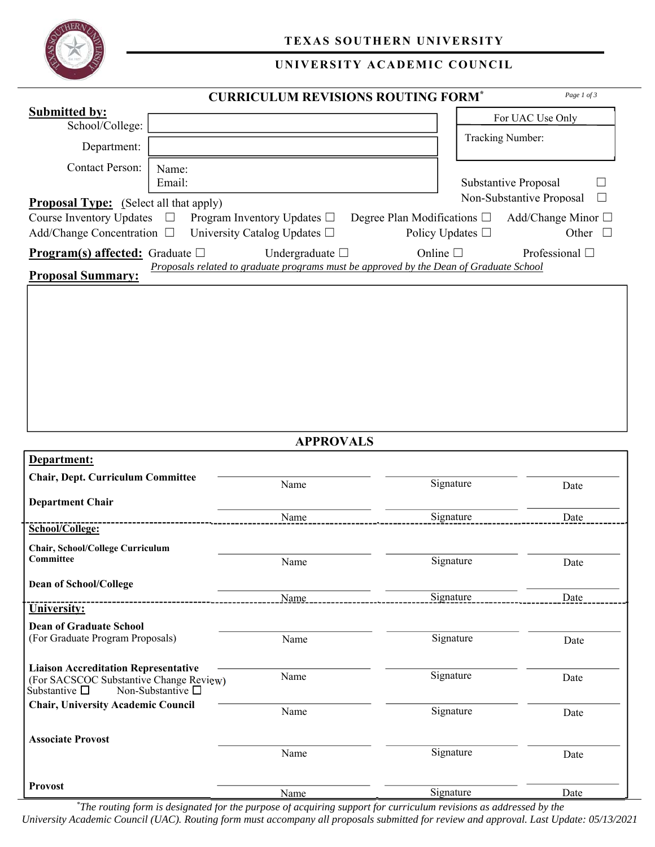

## **TEXAS SOUTHERN UNIVERSITY**

## **UNIVERSITY ACADEMIC COUNCIL**

|                                               |                 | <b>CURRICULUM REVISIONS ROUTING FORM*</b>                                              |                                  | Page 1 of 3                              |
|-----------------------------------------------|-----------------|----------------------------------------------------------------------------------------|----------------------------------|------------------------------------------|
| <b>Submitted by:</b>                          |                 |                                                                                        |                                  | For UAC Use Only                         |
| School/College:                               |                 |                                                                                        |                                  |                                          |
| Department:                                   |                 |                                                                                        |                                  | Tracking Number:                         |
| <b>Contact Person:</b>                        | Name:<br>Email: |                                                                                        |                                  | Substantive Proposal                     |
| <b>Proposal Type:</b> (Select all that apply) |                 |                                                                                        |                                  | Non-Substantive Proposal<br>$\mathbf{L}$ |
| Course Inventory Updates $\Box$               |                 | Program Inventory Updates $\Box$                                                       | Degree Plan Modifications $\Box$ | Add/Change Minor $\Box$                  |
| Add/Change Concentration $\Box$               |                 | University Catalog Updates $\Box$                                                      | Policy Updates $\Box$            | Other<br>$\perp$                         |
| <b>Program(s) affected:</b> Graduate $\Box$   |                 | Undergraduate $\square$                                                                | Online $\square$                 | Professional $\Box$                      |
| <b>Proposal Summary:</b>                      |                 | Proposals related to graduate programs must be approved by the Dean of Graduate School |                                  |                                          |
|                                               |                 |                                                                                        |                                  |                                          |

**APPROVALS**

| Department:                                                                                                      |      |           |      |
|------------------------------------------------------------------------------------------------------------------|------|-----------|------|
| <b>Chair, Dept. Curriculum Committee</b>                                                                         | Name | Signature | Date |
| <b>Department Chair</b>                                                                                          |      |           |      |
|                                                                                                                  | Name | Signature | Date |
| School/College:                                                                                                  |      |           |      |
| Chair, School/College Curriculum                                                                                 |      |           |      |
| Committee                                                                                                        | Name | Signature | Date |
| Dean of School/College                                                                                           |      |           |      |
|                                                                                                                  | Name | Signature | Date |
| <b>University:</b>                                                                                               |      |           |      |
| <b>Dean of Graduate School</b>                                                                                   |      |           |      |
| (For Graduate Program Proposals)                                                                                 | Name | Signature | Date |
|                                                                                                                  |      |           |      |
| <b>Liaison Accreditation Representative</b>                                                                      | Name | Signature | Date |
| (For SACSCOC Substantive Change Review)<br>Substantive $\square$ Non-Substantive $\square$<br>Substantive $\Box$ |      |           |      |
| <b>Chair, University Academic Council</b>                                                                        | Name | Signature | Date |
|                                                                                                                  |      |           |      |
| <b>Associate Provost</b>                                                                                         |      |           |      |
|                                                                                                                  | Name | Signature | Date |
|                                                                                                                  |      |           |      |
| <b>Provost</b>                                                                                                   | Name | Signature | Date |
|                                                                                                                  |      |           |      |

*\* The routing form is designated for the purpose of acquiring support for curriculum revisions as addressed by the University Academic Council (UAC). Routing form must accompany all proposals submitted for review and approval. Last Update: 05/13/2021*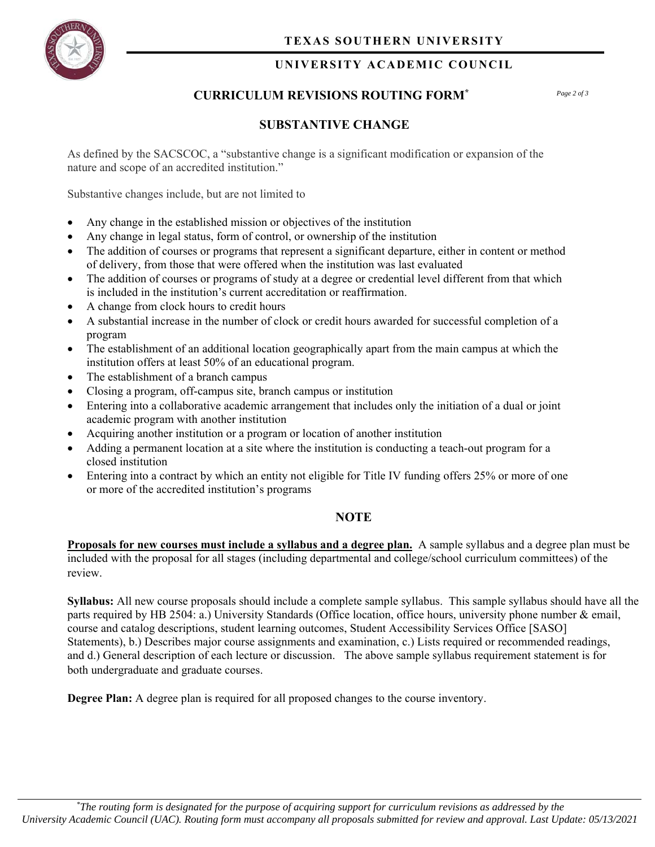

# **UNIVERSITY ACADEMIC COUNCIL**

# **CURRICULUM REVISIONS ROUTING FORM\*** *Page 2 of 3*

# **SUBSTANTIVE CHANGE**

As defined by the SACSCOC, a "substantive change is a significant modification or expansion of the nature and scope of an accredited institution."

Substantive changes include, but are not limited to

- Any change in the established mission or objectives of the institution
- Any change in legal status, form of control, or ownership of the institution
- The addition of courses or programs that represent a significant departure, either in content or method of delivery, from those that were offered when the institution was last evaluated
- The addition of courses or programs of study at a degree or credential level different from that which is included in the institution's current accreditation or reaffirmation.
- A change from clock hours to credit hours
- A substantial increase in the number of clock or credit hours awarded for successful completion of a program
- The establishment of an additional location geographically apart from the main campus at which the institution offers at least 50% of an educational program.
- The establishment of a branch campus
- Closing a program, off-campus site, branch campus or institution
- Entering into a collaborative academic arrangement that includes only the initiation of a dual or joint academic program with another institution
- Acquiring another institution or a program or location of another institution
- Adding a permanent location at a site where the institution is conducting a teach-out program for a closed institution
- Entering into a contract by which an entity not eligible for Title IV funding offers 25% or more of one or more of the accredited institution's programs

# **NOTE**

**Proposals for new courses must include a syllabus and a degree plan.** A sample syllabus and a degree plan must be included with the proposal for all stages (including departmental and college/school curriculum committees) of the review.

**Syllabus:** All new course proposals should include a complete sample syllabus. This sample syllabus should have all the parts required by HB 2504: a.) University Standards (Office location, office hours, university phone number & email, course and catalog descriptions, student learning outcomes, Student Accessibility Services Office [SASO] Statements), b.) Describes major course assignments and examination, c.) Lists required or recommended readings, and d.) General description of each lecture or discussion. The above sample syllabus requirement statement is for both undergraduate and graduate courses.

**Degree Plan:** A degree plan is required for all proposed changes to the course inventory.